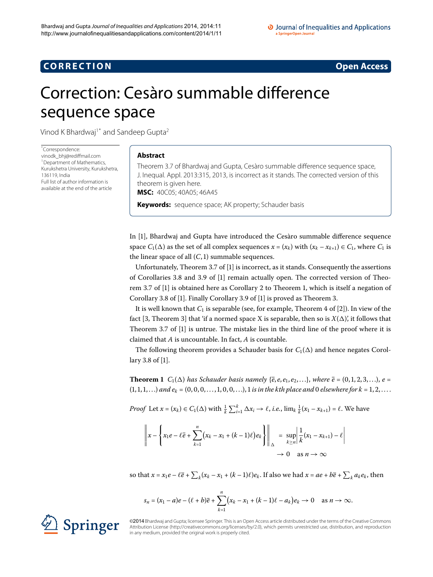## **CORRECTION CORRECTION**

# <span id="page-0-0"></span>Correction: Cesàro summable difference sequence space

Vinod K Bhardwaj<sup>1[\\*](#page-0-0)</sup> and Sandeep Gupta<sup>[2](#page-1-1)</sup>

\* Correspondence: [vinodk\\_bhj@rediffmail.com](mailto:vinodk_bhj@rediffmail.com) <sup>1</sup> Department of Mathematics Kurukshetra University, Kurukshetra, 136119, India Full list of author information is available at the end of the article

#### **Abstract**

Theorem 3.7 of Bhardwaj and Gupta, Cesàro summable difference sequence space, J. Inequal. Appl. 2013:315, 2013, is incorrect as it stands. The corrected version of this theorem is given here.

**MSC:** 40C05; 40A05; 46A45

**Keywords:** sequence space; AK property; Schauder basis

In [\[\]](#page-1-2), Bhardwaj and Gupta have introduced the Cesàro summable difference sequence space  $C_1(\Delta)$  as the set of all complex sequences  $x = (x_k)$  with  $(x_k - x_{k+1}) \in C_1$ , where  $C_1$  is the linear space of all  $(C, 1)$  summable sequences.

Unfortunately, Theorem 3.7 of  $[1]$  is incorrect, as it stands. Consequently the assertions of Corollaries 3.8 and 3.9 of  $[1]$  $[1]$  remain actually open. The corrected version of Theorem 3.7 of  $[1]$  $[1]$  is obtained here as Corollary 2 to Theorem 1[,](#page-0-1) which is itself a negation of Corollary 3.8 of [1[\]](#page-1-2)[.](#page-1-4) Finally Corollary 3.9 of [1] is proved as Theorem 3.

<span id="page-0-1"></span>It is well known that  $C_1$  is separable (see, for example, Theorem 4 of [2[\]](#page-1-5)). In view of the fact [\[](#page-1-6)3, Theorem 3] that 'if a normed space X is separable, then so is  $X(\Delta)$ ', it follows that Theorem 3.7 of  $[1]$  $[1]$  is untrue. The mistake lies in the third line of the proof where it is claimed that *A* is uncountable. In fact, *A* is countable.

The following theorem provides a Schauder basis for  $C_1(\Delta)$  and hence negates Corollary 3.8 of  $[1]$  $[1]$ .

**Theorem 1**  $C_1(\Delta)$  *has Schauder basis namely*  $\{\overline{e}, e, e_1, e_2, \ldots\}$ *, where*  $\overline{e} = (0, 1, 2, 3, \ldots)$ *, e* =  $(1, 1, 1, \ldots)$  *and*  $e_k = (0, 0, 0, \ldots, 1, 0, 0, \ldots)$ , 1 is in the kth place and 0 elsewhere for  $k = 1, 2, \ldots$ 

*Proof* Let  $x = (x_k) \in C_1(\Delta)$  with  $\frac{1}{k} \sum_{i=1}^k \Delta x_i \to \ell$ , *i.e.*,  $\lim_k \frac{1}{k}(x_1 - x_{k+1}) = \ell$ . We have

$$
\left\|x - \left\{x_1e - \ell\overline{e} + \sum_{k=1}^n (x_k - x_1 + (k-1)\ell)e_k\right\}\right\|_{\Delta} = \sup_{k \ge n} \left|\frac{1}{k}(x_1 - x_{k+1}) - \ell\right|
$$
  

$$
\to 0 \quad \text{as } n \to \infty
$$

so that  $x = x_1e - \ell\overline{e} + \sum_k (x_k - x_1 + (k-1)\ell)e_k$ . If also we had  $x = ae + b\overline{e} + \sum_k a_k e_k$ , then

$$
s_n=(x_1-a)e-(\ell+b)\overline{e}+\sum_{k=1}^n\bigl(x_k-x_1+(k-1)\ell-a_k\bigr)e_k\to 0\quad\text{as }n\to\infty.
$$

©2014Bhardwaj and Gupta; licensee Springer. This is an Open Access article distributed under the terms of the Creative Commons Attribution License [\(http://creativecommons.org/licenses/by/2.0](http://creativecommons.org/licenses/by/2.0)), which permits unrestricted use, distribution, and reproduction in any medium, provided the original work is properly cited.